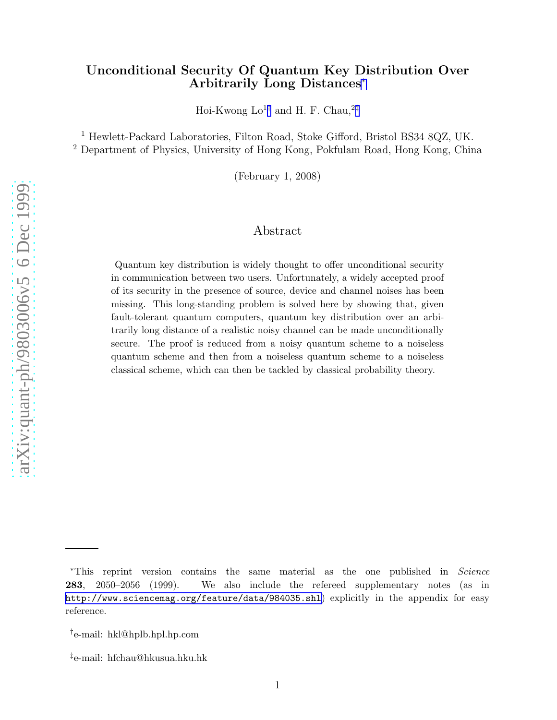# Unconditional Security Of Quantum Key Distribution Over Arbitrarily Long Distances ∗

Hoi-Kwong  $Lo^{1\dagger}$  and H. F. Chau,<sup>2‡</sup>

<sup>1</sup> Hewlett-Packard Laboratories, Filton Road, Stoke Gifford, Bristol BS34 8QZ, UK. <sup>2</sup> Department of Physics, University of Hong Kong, Pokfulam Road, Hong Kong, China

(February 1, 2008)

## Abstract

Quantum key distribution is widely thought to offer unconditional security in communication between two users. Unfortunately, a widely accepted proof of its security in the presence of source, device and channel noises has been missing. This long-standing problem is solved here by showing that, given fault-tolerant quantum computers, quantum key distribution over an arbitrarily long distance of a realistic noisy channel can be made unconditionally secure. The proof is reduced from a noisy quantum scheme to a noiseless quantum scheme and then from a noiseless quantum scheme to a noiseless classical scheme, which can then be tackled by classical probability theory.

<sup>∗</sup>This reprint version contains the same material as the one published in Science 283, 2050–2056 (1999). We also include the refereed supplementary notes (as in <http://www.sciencemag.org/feature/data/984035.shl>) explicitly in the appendix for easy reference.

<sup>†</sup> e-mail: hkl@hplb.hpl.hp.com

<sup>‡</sup> e-mail: hfchau@hkusua.hku.hk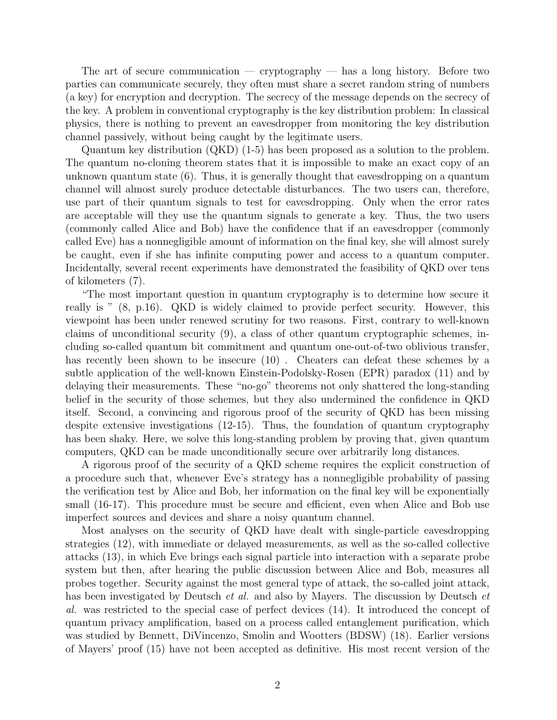The art of secure communication — cryptography — has a long history. Before two parties can communicate securely, they often must share a secret random string of numbers (a key) for encryption and decryption. The secrecy of the message depends on the secrecy of the key. A problem in conventional cryptography is the key distribution problem: In classical physics, there is nothing to prevent an eavesdropper from monitoring the key distribution channel passively, without being caught by the legitimate users.

Quantum key distribution (QKD) (1-5) has been proposed as a solution to the problem. The quantum no-cloning theorem states that it is impossible to make an exact copy of an unknown quantum state  $(6)$ . Thus, it is generally thought that eavesdropping on a quantum channel will almost surely produce detectable disturbances. The two users can, therefore, use part of their quantum signals to test for eavesdropping. Only when the error rates are acceptable will they use the quantum signals to generate a key. Thus, the two users (commonly called Alice and Bob) have the confidence that if an eavesdropper (commonly called Eve) has a nonnegligible amount of information on the final key, she will almost surely be caught, even if she has infinite computing power and access to a quantum computer. Incidentally, several recent experiments have demonstrated the feasibility of QKD over tens of kilometers (7).

"The most important question in quantum cryptography is to determine how secure it really is " (8, p.16). QKD is widely claimed to provide perfect security. However, this viewpoint has been under renewed scrutiny for two reasons. First, contrary to well-known claims of unconditional security (9), a class of other quantum cryptographic schemes, including so-called quantum bit commitment and quantum one-out-of-two oblivious transfer, has recently been shown to be insecure (10) . Cheaters can defeat these schemes by a subtle application of the well-known Einstein-Podolsky-Rosen (EPR) paradox (11) and by delaying their measurements. These "no-go" theorems not only shattered the long-standing belief in the security of those schemes, but they also undermined the confidence in QKD itself. Second, a convincing and rigorous proof of the security of QKD has been missing despite extensive investigations (12-15). Thus, the foundation of quantum cryptography has been shaky. Here, we solve this long-standing problem by proving that, given quantum computers, QKD can be made unconditionally secure over arbitrarily long distances.

A rigorous proof of the security of a QKD scheme requires the explicit construction of a procedure such that, whenever Eve's strategy has a nonnegligible probability of passing the verification test by Alice and Bob, her information on the final key will be exponentially small (16-17). This procedure must be secure and efficient, even when Alice and Bob use imperfect sources and devices and share a noisy quantum channel.

Most analyses on the security of QKD have dealt with single-particle eavesdropping strategies (12), with immediate or delayed measurements, as well as the so-called collective attacks (13), in which Eve brings each signal particle into interaction with a separate probe system but then, after hearing the public discussion between Alice and Bob, measures all probes together. Security against the most general type of attack, the so-called joint attack, has been investigated by Deutsch *et al.* and also by Mayers. The discussion by Deutsch *et al.* was restricted to the special case of perfect devices (14). It introduced the concept of quantum privacy amplification, based on a process called entanglement purification, which was studied by Bennett, DiVincenzo, Smolin and Wootters (BDSW) (18). Earlier versions of Mayers' proof (15) have not been accepted as definitive. His most recent version of the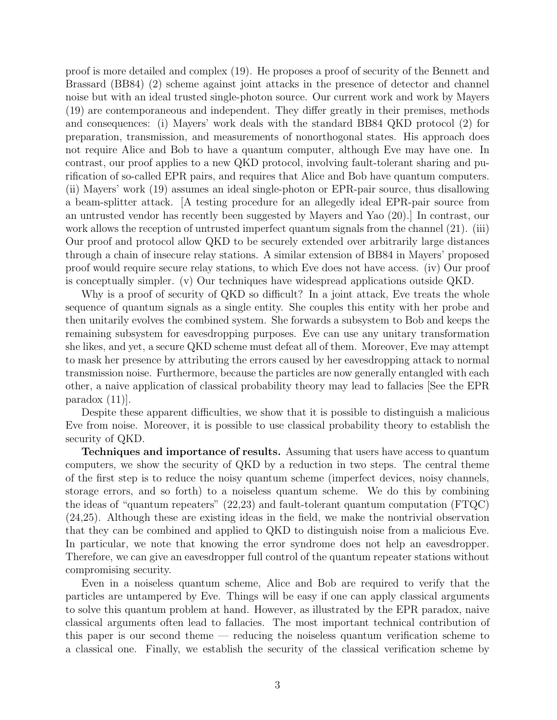proof is more detailed and complex (19). He proposes a proof of security of the Bennett and Brassard (BB84) (2) scheme against joint attacks in the presence of detector and channel noise but with an ideal trusted single-photon source. Our current work and work by Mayers (19) are contemporaneous and independent. They differ greatly in their premises, methods and consequences: (i) Mayers' work deals with the standard BB84 QKD protocol (2) for preparation, transmission, and measurements of nonorthogonal states. His approach does not require Alice and Bob to have a quantum computer, although Eve may have one. In contrast, our proof applies to a new QKD protocol, involving fault-tolerant sharing and purification of so-called EPR pairs, and requires that Alice and Bob have quantum computers. (ii) Mayers' work (19) assumes an ideal single-photon or EPR-pair source, thus disallowing a beam-splitter attack. [A testing procedure for an allegedly ideal EPR-pair source from an untrusted vendor has recently been suggested by Mayers and Yao (20).] In contrast, our work allows the reception of untrusted imperfect quantum signals from the channel  $(21)$ . (iii) Our proof and protocol allow QKD to be securely extended over arbitrarily large distances through a chain of insecure relay stations. A similar extension of BB84 in Mayers' proposed proof would require secure relay stations, to which Eve does not have access. (iv) Our proof is conceptually simpler. (v) Our techniques have widespread applications outside QKD.

Why is a proof of security of QKD so difficult? In a joint attack, Eve treats the whole sequence of quantum signals as a single entity. She couples this entity with her probe and then unitarily evolves the combined system. She forwards a subsystem to Bob and keeps the remaining subsystem for eavesdropping purposes. Eve can use any unitary transformation she likes, and yet, a secure QKD scheme must defeat all of them. Moreover, Eve may attempt to mask her presence by attributing the errors caused by her eavesdropping attack to normal transmission noise. Furthermore, because the particles are now generally entangled with each other, a naive application of classical probability theory may lead to fallacies [See the EPR paradox  $(11)$ .

Despite these apparent difficulties, we show that it is possible to distinguish a malicious Eve from noise. Moreover, it is possible to use classical probability theory to establish the security of QKD.

Techniques and importance of results. Assuming that users have access to quantum computers, we show the security of QKD by a reduction in two steps. The central theme of the first step is to reduce the noisy quantum scheme (imperfect devices, noisy channels, storage errors, and so forth) to a noiseless quantum scheme. We do this by combining the ideas of "quantum repeaters" (22,23) and fault-tolerant quantum computation (FTQC) (24,25). Although these are existing ideas in the field, we make the nontrivial observation that they can be combined and applied to QKD to distinguish noise from a malicious Eve. In particular, we note that knowing the error syndrome does not help an eavesdropper. Therefore, we can give an eavesdropper full control of the quantum repeater stations without compromising security.

Even in a noiseless quantum scheme, Alice and Bob are required to verify that the particles are untampered by Eve. Things will be easy if one can apply classical arguments to solve this quantum problem at hand. However, as illustrated by the EPR paradox, naive classical arguments often lead to fallacies. The most important technical contribution of this paper is our second theme — reducing the noiseless quantum verification scheme to a classical one. Finally, we establish the security of the classical verification scheme by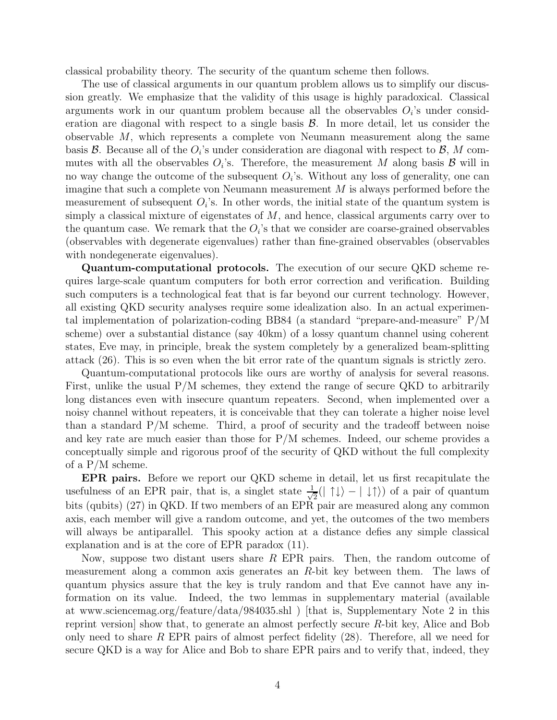classical probability theory. The security of the quantum scheme then follows.

The use of classical arguments in our quantum problem allows us to simplify our discussion greatly. We emphasize that the validity of this usage is highly paradoxical. Classical arguments work in our quantum problem because all the observables  $O_i$ 's under consideration are diagonal with respect to a single basis  $\mathcal{B}$ . In more detail, let us consider the observable  $M$ , which represents a complete von Neumann measurement along the same basis  $\mathcal{B}$ . Because all of the  $O_i$ 's under consideration are diagonal with respect to  $\mathcal{B}$ ,  $M$  commutes with all the observables  $O_i$ 's. Therefore, the measurement M along basis  $\mathcal{B}$  will in no way change the outcome of the subsequent  $O_i$ 's. Without any loss of generality, one can imagine that such a complete von Neumann measurement M is always performed before the measurement of subsequent  $O_i$ 's. In other words, the initial state of the quantum system is simply a classical mixture of eigenstates of  $M$ , and hence, classical arguments carry over to the quantum case. We remark that the  $O_i$ 's that we consider are coarse-grained observables (observables with degenerate eigenvalues) rather than fine-grained observables (observables with nondegenerate eigenvalues).

Quantum-computational protocols. The execution of our secure QKD scheme requires large-scale quantum computers for both error correction and verification. Building such computers is a technological feat that is far beyond our current technology. However, all existing QKD security analyses require some idealization also. In an actual experimental implementation of polarization-coding BB84 (a standard "prepare-and-measure" P/M scheme) over a substantial distance (say 40km) of a lossy quantum channel using coherent states, Eve may, in principle, break the system completely by a generalized beam-splitting attack (26). This is so even when the bit error rate of the quantum signals is strictly zero.

Quantum-computational protocols like ours are worthy of analysis for several reasons. First, unlike the usual P/M schemes, they extend the range of secure QKD to arbitrarily long distances even with insecure quantum repeaters. Second, when implemented over a noisy channel without repeaters, it is conceivable that they can tolerate a higher noise level than a standard  $P/M$  scheme. Third, a proof of security and the tradeoff between noise and key rate are much easier than those for P/M schemes. Indeed, our scheme provides a conceptually simple and rigorous proof of the security of QKD without the full complexity of a P/M scheme.

EPR pairs. Before we report our QKD scheme in detail, let us first recapitulate the usefulness of an EPR pair, that is, a singlet state  $\frac{1}{\sqrt{2}}$  $\frac{1}{2}(|\uparrow\downarrow\rangle - |\downarrow\uparrow\rangle)$  of a pair of quantum bits (qubits) (27) in QKD. If two members of an EPR pair are measured along any common axis, each member will give a random outcome, and yet, the outcomes of the two members will always be antiparallel. This spooky action at a distance defies any simple classical explanation and is at the core of EPR paradox (11).

Now, suppose two distant users share  $R$  EPR pairs. Then, the random outcome of measurement along a common axis generates an R-bit key between them. The laws of quantum physics assure that the key is truly random and that Eve cannot have any information on its value. Indeed, the two lemmas in supplementary material (available at www.sciencemag.org/feature/data/984035.shl ) [that is, Supplementary Note 2 in this reprint version] show that, to generate an almost perfectly secure R-bit key, Alice and Bob only need to share R EPR pairs of almost perfect fidelity  $(28)$ . Therefore, all we need for secure QKD is a way for Alice and Bob to share EPR pairs and to verify that, indeed, they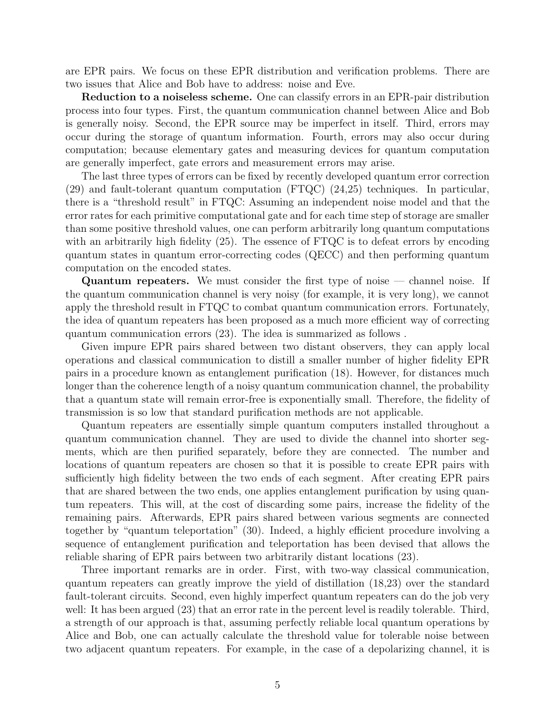are EPR pairs. We focus on these EPR distribution and verification problems. There are two issues that Alice and Bob have to address: noise and Eve.

Reduction to a noiseless scheme. One can classify errors in an EPR-pair distribution process into four types. First, the quantum communication channel between Alice and Bob is generally noisy. Second, the EPR source may be imperfect in itself. Third, errors may occur during the storage of quantum information. Fourth, errors may also occur during computation; because elementary gates and measuring devices for quantum computation are generally imperfect, gate errors and measurement errors may arise.

The last three types of errors can be fixed by recently developed quantum error correction (29) and fault-tolerant quantum computation (FTQC) (24,25) techniques. In particular, there is a "threshold result" in FTQC: Assuming an independent noise model and that the error rates for each primitive computational gate and for each time step of storage are smaller than some positive threshold values, one can perform arbitrarily long quantum computations with an arbitrarily high fidelity (25). The essence of FTQC is to defeat errors by encoding quantum states in quantum error-correcting codes (QECC) and then performing quantum computation on the encoded states.

Quantum repeaters. We must consider the first type of noise — channel noise. If the quantum communication channel is very noisy (for example, it is very long), we cannot apply the threshold result in FTQC to combat quantum communication errors. Fortunately, the idea of quantum repeaters has been proposed as a much more efficient way of correcting quantum communication errors (23). The idea is summarized as follows .

Given impure EPR pairs shared between two distant observers, they can apply local operations and classical communication to distill a smaller number of higher fidelity EPR pairs in a procedure known as entanglement purification (18). However, for distances much longer than the coherence length of a noisy quantum communication channel, the probability that a quantum state will remain error-free is exponentially small. Therefore, the fidelity of transmission is so low that standard purification methods are not applicable.

Quantum repeaters are essentially simple quantum computers installed throughout a quantum communication channel. They are used to divide the channel into shorter segments, which are then purified separately, before they are connected. The number and locations of quantum repeaters are chosen so that it is possible to create EPR pairs with sufficiently high fidelity between the two ends of each segment. After creating EPR pairs that are shared between the two ends, one applies entanglement purification by using quantum repeaters. This will, at the cost of discarding some pairs, increase the fidelity of the remaining pairs. Afterwards, EPR pairs shared between various segments are connected together by "quantum teleportation" (30). Indeed, a highly efficient procedure involving a sequence of entanglement purification and teleportation has been devised that allows the reliable sharing of EPR pairs between two arbitrarily distant locations (23).

Three important remarks are in order. First, with two-way classical communication, quantum repeaters can greatly improve the yield of distillation (18,23) over the standard fault-tolerant circuits. Second, even highly imperfect quantum repeaters can do the job very well: It has been argued  $(23)$  that an error rate in the percent level is readily tolerable. Third, a strength of our approach is that, assuming perfectly reliable local quantum operations by Alice and Bob, one can actually calculate the threshold value for tolerable noise between two adjacent quantum repeaters. For example, in the case of a depolarizing channel, it is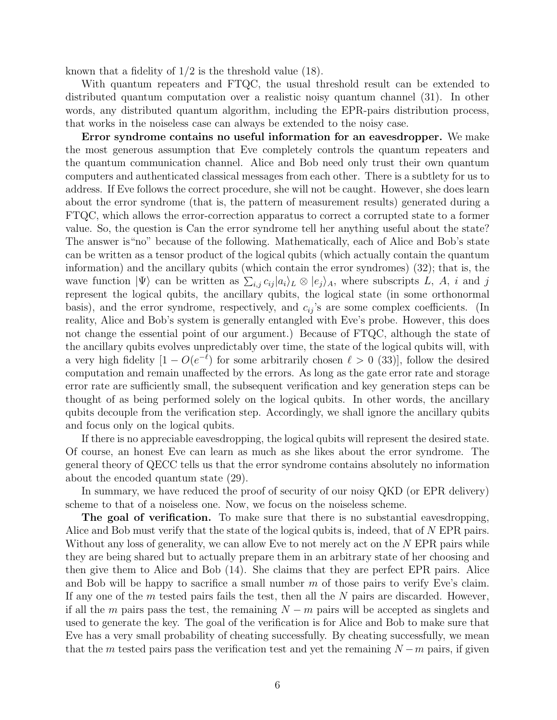known that a fidelity of 1/2 is the threshold value (18).

With quantum repeaters and FTQC, the usual threshold result can be extended to distributed quantum computation over a realistic noisy quantum channel (31). In other words, any distributed quantum algorithm, including the EPR-pairs distribution process, that works in the noiseless case can always be extended to the noisy case.

Error syndrome contains no useful information for an eavesdropper. We make the most generous assumption that Eve completely controls the quantum repeaters and the quantum communication channel. Alice and Bob need only trust their own quantum computers and authenticated classical messages from each other. There is a subtlety for us to address. If Eve follows the correct procedure, she will not be caught. However, she does learn about the error syndrome (that is, the pattern of measurement results) generated during a FTQC, which allows the error-correction apparatus to correct a corrupted state to a former value. So, the question is Can the error syndrome tell her anything useful about the state? The answer is"no" because of the following. Mathematically, each of Alice and Bob's state can be written as a tensor product of the logical qubits (which actually contain the quantum information) and the ancillary qubits (which contain the error syndromes) (32); that is, the wave function  $|\Psi\rangle$  can be written as  $\sum_{i,j} c_{ij} |a_i\rangle_L \otimes |e_j\rangle_A$ , where subscripts L, A, i and j represent the logical qubits, the ancillary qubits, the logical state (in some orthonormal basis), and the error syndrome, respectively, and  $c_{ij}$ 's are some complex coefficients. (In reality, Alice and Bob's system is generally entangled with Eve's probe. However, this does not change the essential point of our argument.) Because of FTQC, although the state of the ancillary qubits evolves unpredictably over time, the state of the logical qubits will, with a very high fidelity  $[1 - O(e^{-\ell})$  for some arbitrarily chosen  $\ell > 0$  (33)], follow the desired computation and remain unaffected by the errors. As long as the gate error rate and storage error rate are sufficiently small, the subsequent verification and key generation steps can be thought of as being performed solely on the logical qubits. In other words, the ancillary qubits decouple from the verification step. Accordingly, we shall ignore the ancillary qubits and focus only on the logical qubits.

If there is no appreciable eavesdropping, the logical qubits will represent the desired state. Of course, an honest Eve can learn as much as she likes about the error syndrome. The general theory of QECC tells us that the error syndrome contains absolutely no information about the encoded quantum state (29).

In summary, we have reduced the proof of security of our noisy QKD (or EPR delivery) scheme to that of a noiseless one. Now, we focus on the noiseless scheme.

The goal of verification. To make sure that there is no substantial eavesdropping, Alice and Bob must verify that the state of the logical qubits is, indeed, that of N EPR pairs. Without any loss of generality, we can allow Eve to not merely act on the N EPR pairs while they are being shared but to actually prepare them in an arbitrary state of her choosing and then give them to Alice and Bob (14). She claims that they are perfect EPR pairs. Alice and Bob will be happy to sacrifice a small number  $m$  of those pairs to verify Eve's claim. If any one of the  $m$  tested pairs fails the test, then all the  $N$  pairs are discarded. However, if all the m pairs pass the test, the remaining  $N - m$  pairs will be accepted as singlets and used to generate the key. The goal of the verification is for Alice and Bob to make sure that Eve has a very small probability of cheating successfully. By cheating successfully, we mean that the m tested pairs pass the verification test and yet the remaining  $N - m$  pairs, if given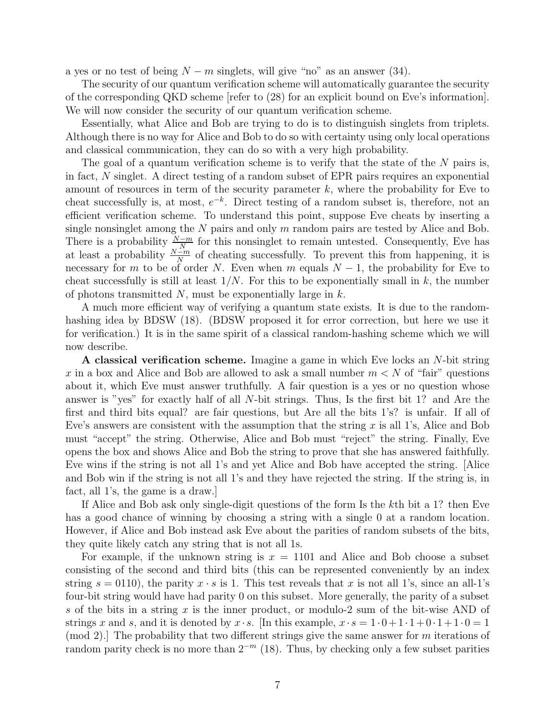a yes or no test of being  $N - m$  singlets, will give "no" as an answer (34).

The security of our quantum verification scheme will automatically guarantee the security of the corresponding QKD scheme [refer to (28) for an explicit bound on Eve's information]. We will now consider the security of our quantum verification scheme.

Essentially, what Alice and Bob are trying to do is to distinguish singlets from triplets. Although there is no way for Alice and Bob to do so with certainty using only local operations and classical communication, they can do so with a very high probability.

The goal of a quantum verification scheme is to verify that the state of the  $N$  pairs is, in fact, N singlet. A direct testing of a random subset of EPR pairs requires an exponential amount of resources in term of the security parameter  $k$ , where the probability for Eve to cheat successfully is, at most,  $e^{-k}$ . Direct testing of a random subset is, therefore, not an efficient verification scheme. To understand this point, suppose Eve cheats by inserting a single nonsinglet among the  $N$  pairs and only  $m$  random pairs are tested by Alice and Bob. There is a probability  $\frac{N-m}{N}$  for this nonsinglet to remain untested. Consequently, Eve has at least a probability  $\frac{N-m}{N}$  of cheating successfully. To prevent this from happening, it is necessary for m to be of order N. Even when m equals  $N-1$ , the probability for Eve to cheat successfully is still at least  $1/N$ . For this to be exponentially small in k, the number of photons transmitted  $N$ , must be exponentially large in  $k$ .

A much more efficient way of verifying a quantum state exists. It is due to the randomhashing idea by BDSW (18). (BDSW proposed it for error correction, but here we use it for verification.) It is in the same spirit of a classical random-hashing scheme which we will now describe.

A classical verification scheme. Imagine a game in which Eve locks an N-bit string x in a box and Alice and Bob are allowed to ask a small number  $m < N$  of "fair" questions about it, which Eve must answer truthfully. A fair question is a yes or no question whose answer is "yes" for exactly half of all N-bit strings. Thus, Is the first bit 1? and Are the first and third bits equal? are fair questions, but Are all the bits 1's? is unfair. If all of Eve's answers are consistent with the assumption that the string  $x$  is all 1's, Alice and Bob must "accept" the string. Otherwise, Alice and Bob must "reject" the string. Finally, Eve opens the box and shows Alice and Bob the string to prove that she has answered faithfully. Eve wins if the string is not all 1's and yet Alice and Bob have accepted the string. [Alice and Bob win if the string is not all 1's and they have rejected the string. If the string is, in fact, all 1's, the game is a draw.]

If Alice and Bob ask only single-digit questions of the form Is the kth bit a 1? then Eve has a good chance of winning by choosing a string with a single 0 at a random location. However, if Alice and Bob instead ask Eve about the parities of random subsets of the bits, they quite likely catch any string that is not all 1s.

For example, if the unknown string is  $x = 1101$  and Alice and Bob choose a subset consisting of the second and third bits (this can be represented conveniently by an index string  $s = 0110$ , the parity  $x \cdot s$  is 1. This test reveals that x is not all 1's, since an all-1's four-bit string would have had parity 0 on this subset. More generally, the parity of a subset s of the bits in a string x is the inner product, or modulo-2 sum of the bit-wise AND of strings x and s, and it is denoted by  $x \cdot s$ . In this example,  $x \cdot s = 1 \cdot 0 + 1 \cdot 1 + 0 \cdot 1 + 1 \cdot 0 = 1$ (mod 2). The probability that two different strings give the same answer for m iterations of random parity check is no more than  $2^{-m}$  (18). Thus, by checking only a few subset parities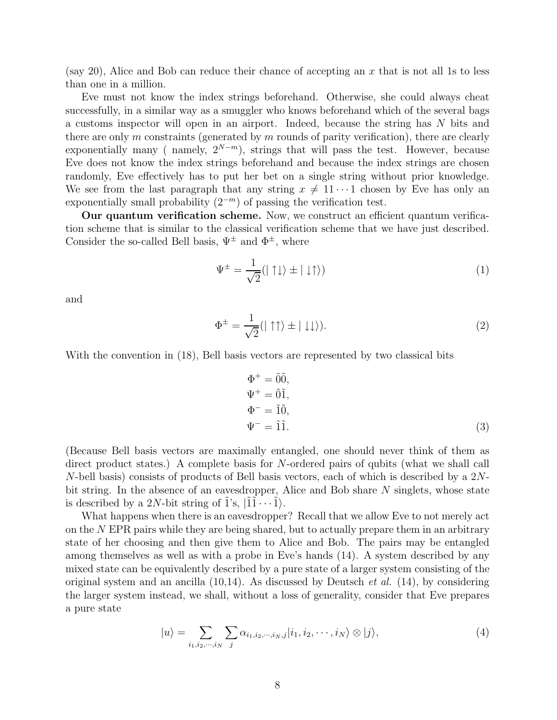(say 20), Alice and Bob can reduce their chance of accepting an  $x$  that is not all 1s to less than one in a million.

Eve must not know the index strings beforehand. Otherwise, she could always cheat successfully, in a similar way as a smuggler who knows beforehand which of the several bags a customs inspector will open in an airport. Indeed, because the string has N bits and there are only  $m$  constraints (generated by  $m$  rounds of parity verification), there are clearly exponentially many ( namely,  $2^{N-m}$ ), strings that will pass the test. However, because Eve does not know the index strings beforehand and because the index strings are chosen randomly, Eve effectively has to put her bet on a single string without prior knowledge. We see from the last paragraph that any string  $x \neq 11 \cdots 1$  chosen by Eve has only an exponentially small probability  $(2^{-m})$  of passing the verification test.

Our quantum verification scheme. Now, we construct an efficient quantum verification scheme that is similar to the classical verification scheme that we have just described. Consider the so-called Bell basis,  $\Psi^{\pm}$  and  $\Phi^{\pm}$ , where

$$
\Psi^{\pm} = \frac{1}{\sqrt{2}} (|\uparrow \downarrow \rangle \pm |\downarrow \uparrow \rangle) \tag{1}
$$

and

$$
\Phi^{\pm} = \frac{1}{\sqrt{2}} (|\uparrow \uparrow \rangle \pm |\downarrow \downarrow \rangle). \tag{2}
$$

With the convention in  $(18)$ , Bell basis vectors are represented by two classical bits

$$
\Phi^+ = \tilde{0}\tilde{0},
$$
  
\n
$$
\Psi^+ = \tilde{0}\tilde{1},
$$
  
\n
$$
\Phi^- = \tilde{1}\tilde{0},
$$
  
\n
$$
\Psi^- = \tilde{1}\tilde{1}.
$$
  
\n(3)

(Because Bell basis vectors are maximally entangled, one should never think of them as direct product states.) A complete basis for N-ordered pairs of qubits (what we shall call N-bell basis) consists of products of Bell basis vectors, each of which is described by a 2Nbit string. In the absence of an eavesdropper, Alice and Bob share N singlets, whose state is described by a 2N-bit string of 1's,  $|11 \cdots 1\rangle$ .

What happens when there is an eavesdropper? Recall that we allow Eve to not merely act on the N EPR pairs while they are being shared, but to actually prepare them in an arbitrary state of her choosing and then give them to Alice and Bob. The pairs may be entangled among themselves as well as with a probe in Eve's hands (14). A system described by any mixed state can be equivalently described by a pure state of a larger system consisting of the original system and an ancilla (10,14). As discussed by Deutsch *et al.* (14), by considering the larger system instead, we shall, without a loss of generality, consider that Eve prepares a pure state

$$
|u\rangle = \sum_{i_1, i_2, \cdots, i_N} \sum_j \alpha_{i_1, i_2, \cdots, i_N, j} |i_1, i_2, \cdots, i_N\rangle \otimes |j\rangle, \tag{4}
$$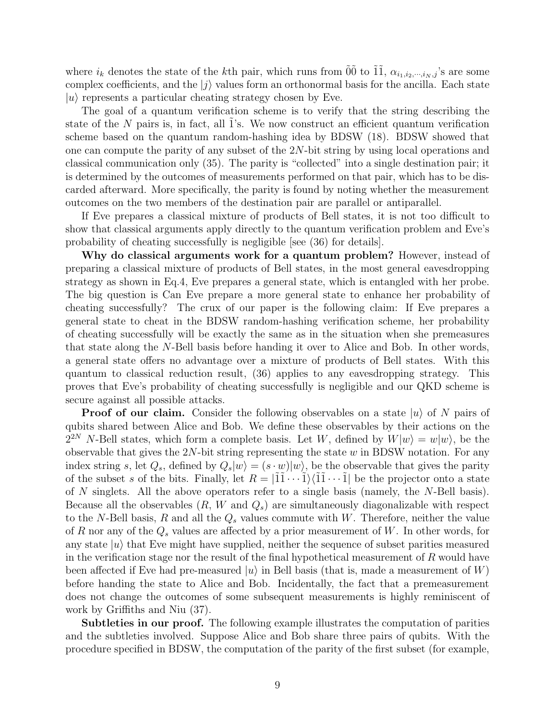where  $i_k$  denotes the state of the kth pair, which runs from  $\tilde{0}\tilde{0}$  to  $\tilde{1}\tilde{1}$ ,  $\alpha_{i_1,i_2,\dots,i_N,j}$ 's are some complex coefficients, and the  $|j\rangle$  values form an orthonormal basis for the ancilla. Each state  $|u\rangle$  represents a particular cheating strategy chosen by Eve.

The goal of a quantum verification scheme is to verify that the string describing the state of the  $N$  pairs is, in fact, all 1's. We now construct an efficient quantum verification scheme based on the quantum random-hashing idea by BDSW (18). BDSW showed that one can compute the parity of any subset of the 2N-bit string by using local operations and classical communication only (35). The parity is "collected" into a single destination pair; it is determined by the outcomes of measurements performed on that pair, which has to be discarded afterward. More specifically, the parity is found by noting whether the measurement outcomes on the two members of the destination pair are parallel or antiparallel.

If Eve prepares a classical mixture of products of Bell states, it is not too difficult to show that classical arguments apply directly to the quantum verification problem and Eve's probability of cheating successfully is negligible [see (36) for details].

Why do classical arguments work for a quantum problem? However, instead of preparing a classical mixture of products of Bell states, in the most general eavesdropping strategy as shown in Eq.4, Eve prepares a general state, which is entangled with her probe. The big question is Can Eve prepare a more general state to enhance her probability of cheating successfully? The crux of our paper is the following claim: If Eve prepares a general state to cheat in the BDSW random-hashing verification scheme, her probability of cheating successfully will be exactly the same as in the situation when she premeasures that state along the N-Bell basis before handing it over to Alice and Bob. In other words, a general state offers no advantage over a mixture of products of Bell states. With this quantum to classical reduction result, (36) applies to any eavesdropping strategy. This proves that Eve's probability of cheating successfully is negligible and our QKD scheme is secure against all possible attacks.

**Proof of our claim.** Consider the following observables on a state  $|u\rangle$  of N pairs of qubits shared between Alice and Bob. We define these observables by their actions on the  $2^{2N}$  N-Bell states, which form a complete basis. Let W, defined by  $W|w\rangle = w|w\rangle$ , be the observable that gives the  $2N$ -bit string representing the state w in BDSW notation. For any index string s, let  $Q_s$ , defined by  $Q_s|w\rangle = (s \cdot w)|w\rangle$ , be the observable that gives the parity of the subset s of the bits. Finally, let  $R = |11 \cdots 1\rangle \langle 11 \cdots 1|$  be the projector onto a state of N singlets. All the above operators refer to a single basis (namely, the N-Bell basis). Because all the observables  $(R, W \text{ and } Q_s)$  are simultaneously diagonalizable with respect to the N-Bell basis, R and all the  $Q_s$  values commute with W. Therefore, neither the value of R nor any of the  $Q_s$  values are affected by a prior measurement of W. In other words, for any state  $|u\rangle$  that Eve might have supplied, neither the sequence of subset parities measured in the verification stage nor the result of the final hypothetical measurement of  $R$  would have been affected if Eve had pre-measured  $|u\rangle$  in Bell basis (that is, made a measurement of W) before handing the state to Alice and Bob. Incidentally, the fact that a premeasurement does not change the outcomes of some subsequent measurements is highly reminiscent of work by Griffiths and Niu (37).

**Subtleties in our proof.** The following example illustrates the computation of parities and the subtleties involved. Suppose Alice and Bob share three pairs of qubits. With the procedure specified in BDSW, the computation of the parity of the first subset (for example,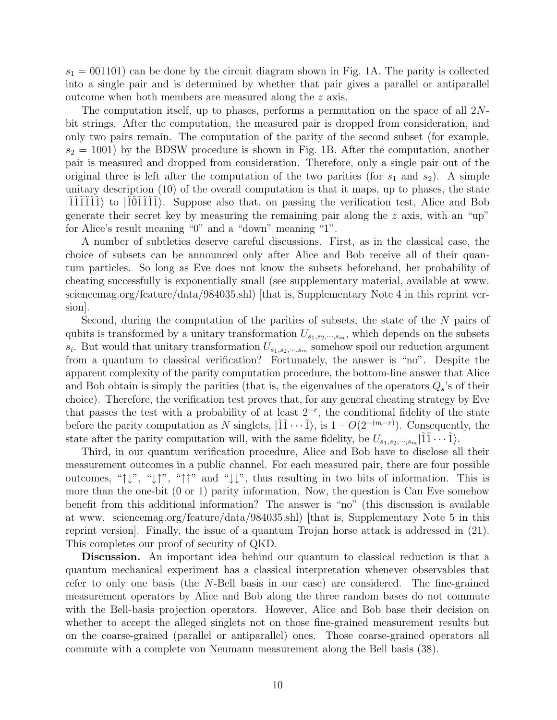$s_1 = 001101$ ) can be done by the circuit diagram shown in Fig. 1A. The parity is collected into a single pair and is determined by whether that pair gives a parallel or antiparallel outcome when both members are measured along the z axis.

The computation itself, up to phases, performs a permutation on the space of all 2Nbit strings. After the computation, the measured pair is dropped from consideration, and only two pairs remain. The computation of the parity of the second subset (for example,  $s_2 = 1001$ ) by the BDSW procedure is shown in Fig. 1B. After the computation, another pair is measured and dropped from consideration. Therefore, only a single pair out of the original three is left after the computation of the two parities (for  $s_1$  and  $s_2$ ). A simple unitary description (10) of the overall computation is that it maps, up to phases, the state  $|111111\rangle$  to  $|101111\rangle$ . Suppose also that, on passing the verification test, Alice and Bob generate their secret key by measuring the remaining pair along the  $z$  axis, with an "up" for Alice's result meaning "0" and a "down" meaning "1".

A number of subtleties deserve careful discussions. First, as in the classical case, the choice of subsets can be announced only after Alice and Bob receive all of their quantum particles. So long as Eve does not know the subsets beforehand, her probability of cheating successfully is exponentially small (see supplementary material, available at www. sciencemag.org/feature/data/984035.shl) [that is, Supplementary Note 4 in this reprint version].

Second, during the computation of the parities of subsets, the state of the N pairs of qubits is transformed by a unitary transformation  $U_{s_1,s_2,\dots,s_m}$ , which depends on the subsets  $s_i$ . But would that unitary transformation  $U_{s_1,s_2,\cdots,s_m}$  somehow spoil our reduction argument from a quantum to classical verification? Fortunately, the answer is "no". Despite the apparent complexity of the parity computation procedure, the bottom-line answer that Alice and Bob obtain is simply the parities (that is, the eigenvalues of the operators  $Q_s$ 's of their choice). Therefore, the verification test proves that, for any general cheating strategy by Eve that passes the test with a probability of at least  $2^{-r}$ , the conditional fidelity of the state before the parity computation as N singlets,  $|\tilde{1}\tilde{1} \cdots \tilde{1}\rangle$ , is  $1 - O(2^{-(m-r)})$ . Consequently, the state after the parity computation will, with the same fidelity, be  $U_{s_1,s_2,\dots,s_m}|\tilde{1}\tilde{1}\cdots\tilde{1}\rangle$ .

Third, in our quantum verification procedure, Alice and Bob have to disclose all their measurement outcomes in a public channel. For each measured pair, there are four possible outcomes, " $\downarrow$ ", " $\downarrow$ ", " $\uparrow$ " and " $\downarrow \downarrow$ ", thus resulting in two bits of information. This is more than the one-bit (0 or 1) parity information. Now, the question is Can Eve somehow benefit from this additional information? The answer is "no" (this discussion is available at www. sciencemag.org/feature/data/984035.shl) [that is, Supplementary Note 5 in this reprint version]. Finally, the issue of a quantum Trojan horse attack is addressed in (21). This completes our proof of security of QKD.

Discussion. An important idea behind our quantum to classical reduction is that a quantum mechanical experiment has a classical interpretation whenever observables that refer to only one basis (the N-Bell basis in our case) are considered. The fine-grained measurement operators by Alice and Bob along the three random bases do not commute with the Bell-basis projection operators. However, Alice and Bob base their decision on whether to accept the alleged singlets not on those fine-grained measurement results but on the coarse-grained (parallel or antiparallel) ones. Those coarse-grained operators all commute with a complete von Neumann measurement along the Bell basis (38).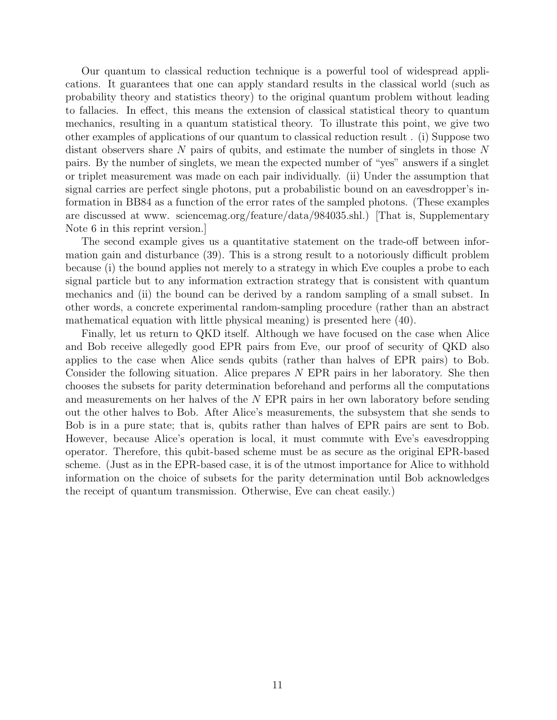Our quantum to classical reduction technique is a powerful tool of widespread applications. It guarantees that one can apply standard results in the classical world (such as probability theory and statistics theory) to the original quantum problem without leading to fallacies. In effect, this means the extension of classical statistical theory to quantum mechanics, resulting in a quantum statistical theory. To illustrate this point, we give two other examples of applications of our quantum to classical reduction result . (i) Suppose two distant observers share  $N$  pairs of qubits, and estimate the number of singlets in those  $N$ pairs. By the number of singlets, we mean the expected number of "yes" answers if a singlet or triplet measurement was made on each pair individually. (ii) Under the assumption that signal carries are perfect single photons, put a probabilistic bound on an eavesdropper's information in BB84 as a function of the error rates of the sampled photons. (These examples are discussed at www. sciencemag.org/feature/data/984035.shl.) [That is, Supplementary Note 6 in this reprint version.]

The second example gives us a quantitative statement on the trade-off between information gain and disturbance (39). This is a strong result to a notoriously difficult problem because (i) the bound applies not merely to a strategy in which Eve couples a probe to each signal particle but to any information extraction strategy that is consistent with quantum mechanics and (ii) the bound can be derived by a random sampling of a small subset. In other words, a concrete experimental random-sampling procedure (rather than an abstract mathematical equation with little physical meaning) is presented here (40).

Finally, let us return to QKD itself. Although we have focused on the case when Alice and Bob receive allegedly good EPR pairs from Eve, our proof of security of QKD also applies to the case when Alice sends qubits (rather than halves of EPR pairs) to Bob. Consider the following situation. Alice prepares N EPR pairs in her laboratory. She then chooses the subsets for parity determination beforehand and performs all the computations and measurements on her halves of the N EPR pairs in her own laboratory before sending out the other halves to Bob. After Alice's measurements, the subsystem that she sends to Bob is in a pure state; that is, qubits rather than halves of EPR pairs are sent to Bob. However, because Alice's operation is local, it must commute with Eve's eavesdropping operator. Therefore, this qubit-based scheme must be as secure as the original EPR-based scheme. (Just as in the EPR-based case, it is of the utmost importance for Alice to withhold information on the choice of subsets for the parity determination until Bob acknowledges the receipt of quantum transmission. Otherwise, Eve can cheat easily.)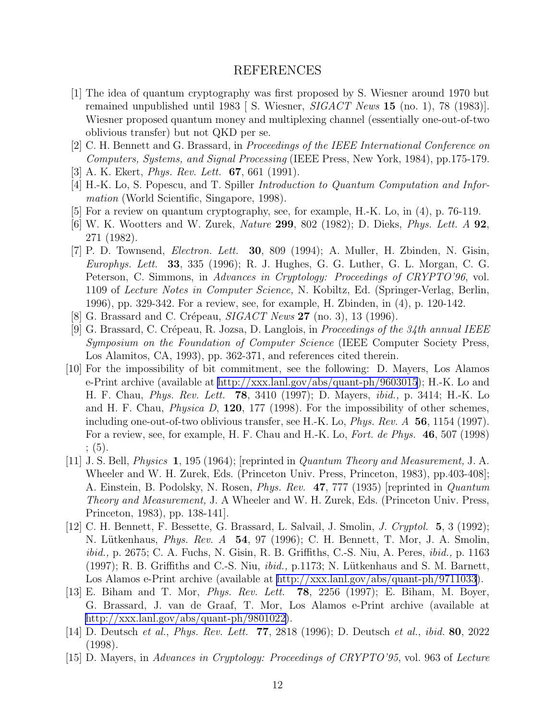### REFERENCES

- <span id="page-11-0"></span>[1] The idea of quantum cryptography was first proposed by S. Wiesner around 1970 but remained unpublished until 1983 [ S. Wiesner, *SIGACT News* 15 (no. 1), 78 (1983)]. Wiesner proposed quantum money and multiplexing channel (essentially one-out-of-two oblivious transfer) but not QKD per se.
- [2] C. H. Bennett and G. Brassard, in *Proceedings of the IEEE International Conference on Computers, Systems, and Signal Processing* (IEEE Press, New York, 1984), pp.175-179.
- [3] A. K. Ekert, *Phys. Rev. Lett.* 67, 661 (1991).
- [4] H.-K. Lo, S. Popescu, and T. Spiller *Introduction to Quantum Computation and Information* (World Scientific, Singapore, 1998).
- [5] For a review on quantum cryptography, see, for example, H.-K. Lo, in (4), p. 76-119.
- [6] W. K. Wootters and W. Zurek, *Nature* 299, 802 (1982); D. Dieks, *Phys. Lett. A* 92, 271 (1982).
- [7] P. D. Townsend, *Electron. Lett.* 30, 809 (1994); A. Muller, H. Zbinden, N. Gisin, *Europhys. Lett.* 33, 335 (1996); R. J. Hughes, G. G. Luther, G. L. Morgan, C. G. Peterson, C. Simmons, in *Advances in Cryptology: Proceedings of CRYPTO'96*, vol. 1109 of *Lecture Notes in Computer Science,* N. Kobiltz, Ed. (Springer-Verlag, Berlin, 1996), pp. 329-342. For a review, see, for example, H. Zbinden, in (4), p. 120-142.
- [8] G. Brassard and C. Crépeau, *SIGACT News* **27** (no. 3), 13 (1996).
- [9] G. Brassard, C. Cr´epeau, R. Jozsa, D. Langlois, in *Proceedings of the 34th annual IEEE Symposium on the Foundation of Computer Science* (IEEE Computer Society Press, Los Alamitos, CA, 1993), pp. 362-371, and references cited therein.
- [10] For the impossibility of bit commitment, see the following: D. Mayers, Los Alamos e-Print archive (available at<http://xxx.lanl.gov/abs/quant-ph/9603015>); H.-K. Lo and H. F. Chau, *Phys. Rev. Lett.* 78, 3410 (1997); D. Mayers, *ibid.,* p. 3414; H.-K. Lo and H. F. Chau, *Physica D*, 120, 177 (1998). For the impossibility of other schemes, including one-out-of-two oblivious transfer, see H.-K. Lo, *Phys. Rev. A* 56, 1154 (1997). For a review, see, for example, H. F. Chau and H.-K. Lo, *Fort. de Phys.* 46, 507 (1998) ; (5).
- [11] J. S. Bell, *Physics* 1, 195 (1964); [reprinted in *Quantum Theory and Measurement,* J. A. Wheeler and W. H. Zurek, Eds. (Princeton Univ. Press, Princeton, 1983), pp.403-408]; A. Einstein, B. Podolsky, N. Rosen, *Phys. Rev.* 47, 777 (1935) [reprinted in *Quantum Theory and Measurement,* J. A Wheeler and W. H. Zurek, Eds. (Princeton Univ. Press, Princeton, 1983), pp. 138-141].
- [12] C. H. Bennett, F. Bessette, G. Brassard, L. Salvail, J. Smolin, *J. Cryptol.* 5, 3 (1992); N. L¨utkenhaus, *Phys. Rev. A* 54, 97 (1996); C. H. Bennett, T. Mor, J. A. Smolin, *ibid.,* p. 2675; C. A. Fuchs, N. Gisin, R. B. Griffiths, C.-S. Niu, A. Peres, *ibid.,* p. 1163  $(1997)$ ; R. B. Griffiths and C.-S. Niu,  $ibid.$ , p.1173; N. Lütkenhaus and S. M. Barnett, Los Alamos e-Print archive (available at<http://xxx.lanl.gov/abs/quant-ph/9711033>).
- [13] E. Biham and T. Mor, *Phys. Rev. Lett.* 78, 2256 (1997); E. Biham, M. Boyer, G. Brassard, J. van de Graaf, T. Mor, Los Alamos e-Print archive (available at <http://xxx.lanl.gov/abs/quant-ph/9801022>).
- [14] D. Deutsch *et al.*, *Phys. Rev. Lett.* 77, 2818 (1996); D. Deutsch *et al.*, *ibid.* 80, 2022 (1998).
- [15] D. Mayers, in *Advances in Cryptology: Proceedings of CRYPTO'95*, vol. 963 of *Lecture*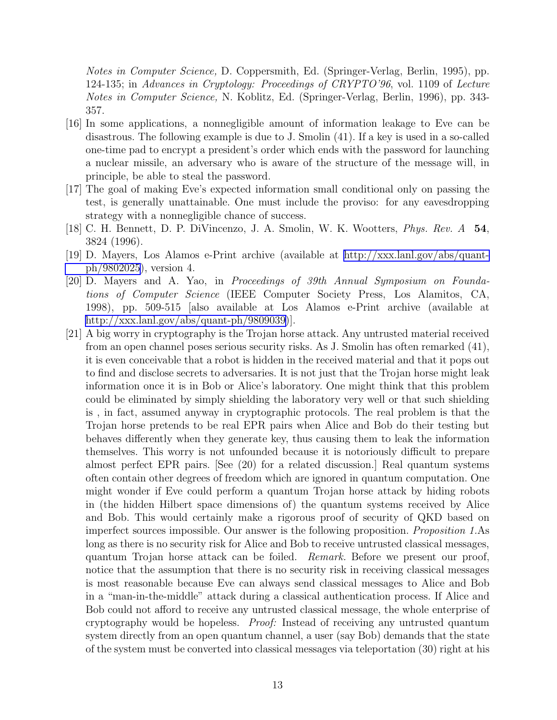<span id="page-12-0"></span>*Notes in Computer Science,* D. Coppersmith, Ed. (Springer-Verlag, Berlin, 1995), pp. 124-135; in *Advances in Cryptology: Proceedings of CRYPTO'96*, vol. 1109 of *Lecture Notes in Computer Science,* N. Koblitz, Ed. (Springer-Verlag, Berlin, 1996), pp. 343- 357.

- [16] In some applications, a nonnegligible amount of information leakage to Eve can be disastrous. The following example is due to J. Smolin (41). If a key is used in a so-called one-time pad to encrypt a president's order which ends with the password for launching a nuclear missile, an adversary who is aware of the structure of the message will, in principle, be able to steal the password.
- [17] The goal of making Eve's expected information small conditional only on passing the test, is generally unattainable. One must include the proviso: for any eavesdropping strategy with a nonnegligible chance of success.
- [18] C. H. Bennett, D. P. DiVincenzo, J. A. Smolin, W. K. Wootters, *Phys. Rev. A* 54, 3824 (1996).
- [19] D. Mayers, Los Alamos e-Print archive (available at [http://xxx.lanl.gov/abs/quant](http://xxx.lanl.gov/abs/quant-ph/9802025)[ph/9802025](http://xxx.lanl.gov/abs/quant-ph/9802025)), version 4.
- [20] D. Mayers and A. Yao, in *Proceedings of 39th Annual Symposium on Foundations of Computer Science* (IEEE Computer Society Press, Los Alamitos, CA, 1998), pp. 509-515 [also available at Los Alamos e-Print archive (available at <http://xxx.lanl.gov/abs/quant-ph/9809039>)].
- [21] A big worry in cryptography is the Trojan horse attack. Any untrusted material received from an open channel poses serious security risks. As J. Smolin has often remarked (41), it is even conceivable that a robot is hidden in the received material and that it pops out to find and disclose secrets to adversaries. It is not just that the Trojan horse might leak information once it is in Bob or Alice's laboratory. One might think that this problem could be eliminated by simply shielding the laboratory very well or that such shielding is , in fact, assumed anyway in cryptographic protocols. The real problem is that the Trojan horse pretends to be real EPR pairs when Alice and Bob do their testing but behaves differently when they generate key, thus causing them to leak the information themselves. This worry is not unfounded because it is notoriously difficult to prepare almost perfect EPR pairs. [See (20) for a related discussion.] Real quantum systems often contain other degrees of freedom which are ignored in quantum computation. One might wonder if Eve could perform a quantum Trojan horse attack by hiding robots in (the hidden Hilbert space dimensions of) the quantum systems received by Alice and Bob. This would certainly make a rigorous proof of security of QKD based on imperfect sources impossible. Our answer is the following proposition. *Proposition 1.*As long as there is no security risk for Alice and Bob to receive untrusted classical messages, quantum Trojan horse attack can be foiled. *Remark.* Before we present our proof, notice that the assumption that there is no security risk in receiving classical messages is most reasonable because Eve can always send classical messages to Alice and Bob in a "man-in-the-middle" attack during a classical authentication process. If Alice and Bob could not afford to receive any untrusted classical message, the whole enterprise of cryptography would be hopeless. *Proof:* Instead of receiving any untrusted quantum system directly from an open quantum channel, a user (say Bob) demands that the state of the system must be converted into classical messages via teleportation (30) right at his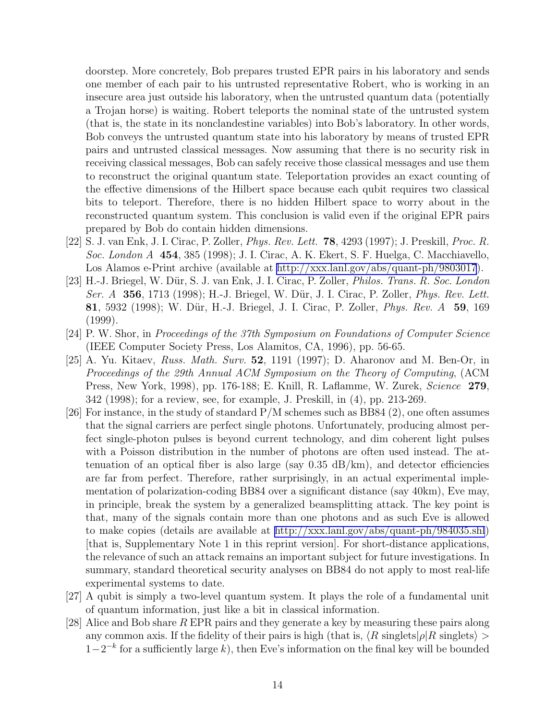<span id="page-13-0"></span>doorstep. More concretely, Bob prepares trusted EPR pairs in his laboratory and sends one member of each pair to his untrusted representative Robert, who is working in an insecure area just outside his laboratory, when the untrusted quantum data (potentially a Trojan horse) is waiting. Robert teleports the nominal state of the untrusted system (that is, the state in its nonclandestine variables) into Bob's laboratory. In other words, Bob conveys the untrusted quantum state into his laboratory by means of trusted EPR pairs and untrusted classical messages. Now assuming that there is no security risk in receiving classical messages, Bob can safely receive those classical messages and use them to reconstruct the original quantum state. Teleportation provides an exact counting of the effective dimensions of the Hilbert space because each qubit requires two classical bits to teleport. Therefore, there is no hidden Hilbert space to worry about in the reconstructed quantum system. This conclusion is valid even if the original EPR pairs prepared by Bob do contain hidden dimensions.

- [22] S. J. van Enk, J. I. Cirac, P. Zoller, *Phys. Rev. Lett.* 78, 4293 (1997); J. Preskill, *Proc. R. Soc. London A* 454, 385 (1998); J. I. Cirac, A. K. Ekert, S. F. Huelga, C. Macchiavello, Los Alamos e-Print archive (available at<http://xxx.lanl.gov/abs/quant-ph/9803017>).
- [23] H.-J. Briegel, W. D¨ur, S. J. van Enk, J. I. Cirac, P. Zoller, *Philos. Trans. R. Soc. London Ser. A* 356, 1713 (1998); H.-J. Briegel, W. D¨ur, J. I. Cirac, P. Zoller, *Phys. Rev. Lett.* 81, 5932 (1998); W. D¨ur, H.-J. Briegel, J. I. Cirac, P. Zoller, *Phys. Rev. A* 59, 169 (1999).
- [24] P. W. Shor, in *Proceedings of the 37th Symposium on Foundations of Computer Science* (IEEE Computer Society Press, Los Alamitos, CA, 1996), pp. 56-65.
- [25] A. Yu. Kitaev, *Russ. Math. Surv.* 52, 1191 (1997); D. Aharonov and M. Ben-Or, in *Proceedings of the 29th Annual ACM Symposium on the Theory of Computing*, (ACM Press, New York, 1998), pp. 176-188; E. Knill, R. Laflamme, W. Zurek, *Science* 279, 342 (1998); for a review, see, for example, J. Preskill, in (4), pp. 213-269.
- [26] For instance, in the study of standard  $P/M$  schemes such as BB84 (2), one often assumes that the signal carriers are perfect single photons. Unfortunately, producing almost perfect single-photon pulses is beyond current technology, and dim coherent light pulses with a Poisson distribution in the number of photons are often used instead. The attenuation of an optical fiber is also large (say  $0.35 \text{ dB/km}$ ), and detector efficiencies are far from perfect. Therefore, rather surprisingly, in an actual experimental implementation of polarization-coding BB84 over a significant distance (say 40km), Eve may, in principle, break the system by a generalized beamsplitting attack. The key point is that, many of the signals contain more than one photons and as such Eve is allowed to make copies (details are available at<http://xxx.lanl.gov/abs/quant-ph/984035.shl>) [that is, Supplementary Note 1 in this reprint version]. For short-distance applications, the relevance of such an attack remains an important subject for future investigations. In summary, standard theoretical security analyses on BB84 do not apply to most real-life experimental systems to date.
- [27] A qubit is simply a two-level quantum system. It plays the role of a fundamental unit of quantum information, just like a bit in classical information.
- [28] Alice and Bob share R EPR pairs and they generate a key by measuring these pairs along any common axis. If the fidelity of their pairs is high (that is,  $\langle R \text{ singlets} | \rho | R \text{ singlets} \rangle >$  $1-2^{-k}$  for a sufficiently large k), then Eve's information on the final key will be bounded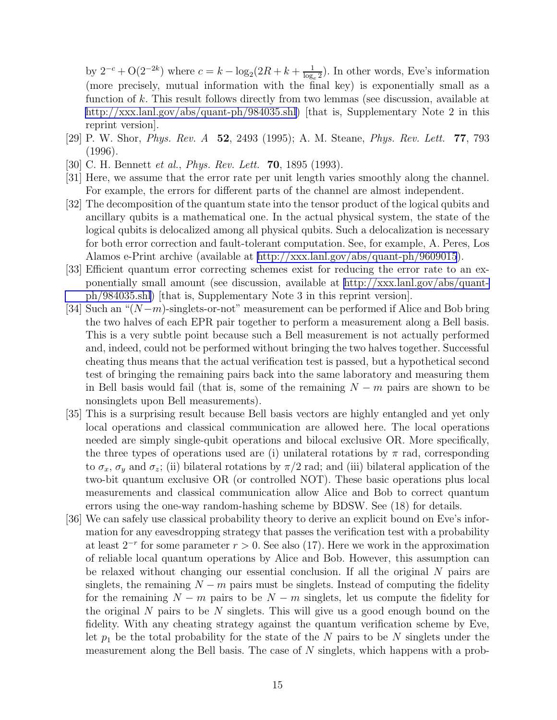by  $2^{-c} + O(2^{-2k})$  where  $c = k - \log_2(2R + k + \frac{1}{\log_e})$  $\frac{1}{\log_e 2}$ ). In other words, Eve's information (more precisely, mutual information with the final key) is exponentially small as a function of k. This result follows directly from two lemmas (see discussion, available at [http://xxx.lanl.gov/abs/quant-ph/984035.shl\)](http://xxx.lanl.gov/abs/quant-ph/984035.shl) [that is, Supplementary Note 2 in this reprint version].

- [29] P. W. Shor, *Phys. Rev. A* 52, 2493 (1995); A. M. Steane, *Phys. Rev. Lett.* 77, 793 (1996).
- [30] C. H. Bennett *et al.*, *Phys. Rev. Lett.* 70, 1895 (1993).
- [31] Here, we assume that the error rate per unit length varies smoothly along the channel. For example, the errors for different parts of the channel are almost independent.
- [32] The decomposition of the quantum state into the tensor product of the logical qubits and ancillary qubits is a mathematical one. In the actual physical system, the state of the logical qubits is delocalized among all physical qubits. Such a delocalization is necessary for both error correction and fault-tolerant computation. See, for example, A. Peres, Los Alamos e-Print archive (available at<http://xxx.lanl.gov/abs/quant-ph/9609015>).
- [33] Efficient quantum error correcting schemes exist for reducing the error rate to an exponentially small amount (see discussion, available at [http://xxx.lanl.gov/abs/quant](http://xxx.lanl.gov/abs/quant-ph/984035.shl)[ph/984035.shl\)](http://xxx.lanl.gov/abs/quant-ph/984035.shl) [that is, Supplementary Note 3 in this reprint version].
- [34] Such an " $(N-m)$ -singlets-or-not" measurement can be performed if Alice and Bob bring the two halves of each EPR pair together to perform a measurement along a Bell basis. This is a very subtle point because such a Bell measurement is not actually performed and, indeed, could not be performed without bringing the two halves together. Successful cheating thus means that the actual verification test is passed, but a hypothetical second test of bringing the remaining pairs back into the same laboratory and measuring them in Bell basis would fail (that is, some of the remaining  $N - m$  pairs are shown to be nonsinglets upon Bell measurements).
- [35] This is a surprising result because Bell basis vectors are highly entangled and yet only local operations and classical communication are allowed here. The local operations needed are simply single-qubit operations and bilocal exclusive OR. More specifically, the three types of operations used are (i) unilateral rotations by  $\pi$  rad, corresponding to  $\sigma_x$ ,  $\sigma_y$  and  $\sigma_z$ ; (ii) bilateral rotations by  $\pi/2$  rad; and (iii) bilateral application of the two-bit quantum exclusive OR (or controlled NOT). These basic operations plus local measurements and classical communication allow Alice and Bob to correct quantum errors using the one-way random-hashing scheme by BDSW. See (18) for details.
- [36] We can safely use classical probability theory to derive an explicit bound on Eve's information for any eavesdropping strategy that passes the verification test with a probability at least  $2^{-r}$  for some parameter  $r > 0$ . See also (17). Here we work in the approximation of reliable local quantum operations by Alice and Bob. However, this assumption can be relaxed without changing our essential conclusion. If all the original N pairs are singlets, the remaining  $N - m$  pairs must be singlets. Instead of computing the fidelity for the remaining  $N - m$  pairs to be  $N - m$  singlets, let us compute the fidelity for the original  $N$  pairs to be  $N$  singlets. This will give us a good enough bound on the fidelity. With any cheating strategy against the quantum verification scheme by Eve, let  $p_1$  be the total probability for the state of the N pairs to be N singlets under the measurement along the Bell basis. The case of N singlets, which happens with a prob-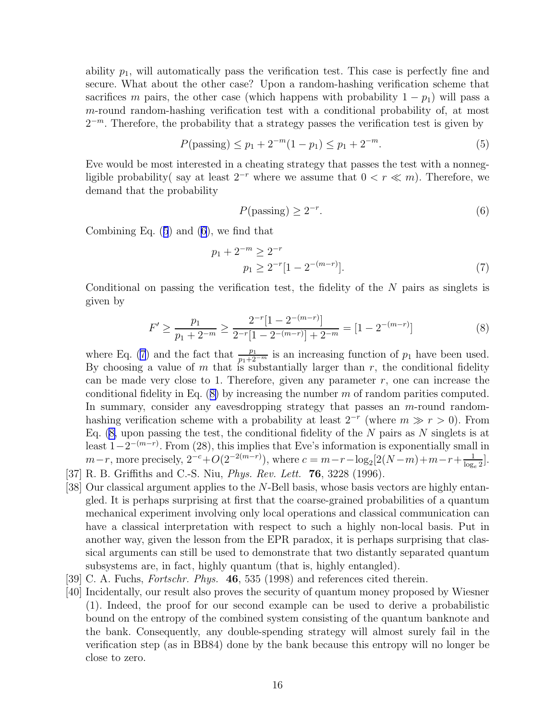ability  $p_1$ , will automatically pass the verification test. This case is perfectly fine and secure. What about the other case? Upon a random-hashing verification scheme that sacrifices m pairs, the other case (which happens with probability  $1 - p_1$ ) will pass a m-round random-hashing verification test with a conditional probability of, at most  $2^{-m}$ . Therefore, the probability that a strategy passes the verification test is given by

$$
P(\text{passing}) \le p_1 + 2^{-m}(1 - p_1) \le p_1 + 2^{-m}.\tag{5}
$$

Eve would be most interested in a cheating strategy that passes the test with a nonnegligible probability( say at least  $2^{-r}$  where we assume that  $0 < r \ll m$ ). Therefore, we demand that the probability

$$
P(\text{passing}) \ge 2^{-r}.\tag{6}
$$

Combining Eq. (5) and (6), we find that

$$
p_1 + 2^{-m} \ge 2^{-r}
$$
  
\n
$$
p_1 \ge 2^{-r} [1 - 2^{-(m-r)}].
$$
\n(7)

Conditional on passing the verification test, the fidelity of the  $N$  pairs as singlets is given by

$$
F' \ge \frac{p_1}{p_1 + 2^{-m}} \ge \frac{2^{-r} [1 - 2^{-(m-r)}]}{2^{-r} [1 - 2^{-(m-r)}] + 2^{-m}} = [1 - 2^{-(m-r)}]
$$
(8)

where Eq. (7) and the fact that  $\frac{p_1}{p_1+2^{-m}}$  is an increasing function of  $p_1$  have been used. By choosing a value of  $m$  that is substantially larger than  $r$ , the conditional fidelity can be made very close to 1. Therefore, given any parameter  $r$ , one can increase the conditional fidelity in Eq.  $(8)$  by increasing the number m of random parities computed. In summary, consider any eavesdropping strategy that passes an  $m$ -round randomhashing verification scheme with a probability at least  $2^{-r}$  (where  $m \gg r > 0$ ). From Eq.  $(8, \text{ upon passing the test, the conditional fidelity of the } N \text{ pairs as } N \text{ singlets is at } n$ least  $1-2^{-(m-r)}$ . From (28), this implies that Eve's information is exponentially small in  $m-r$ , more precisely,  $2^{-c}+O(2^{-2(m-r)})$ , where  $c=m-r-\log_2[2(N-m)+m-r+\frac{1}{\log_2}]$  $\frac{1}{\log_e 2}$ .

- [37] R. B. Griffiths and C.-S. Niu, *Phys. Rev. Lett.* 76, 3228 (1996).
- [38] Our classical argument applies to the N-Bell basis, whose basis vectors are highly entangled. It is perhaps surprising at first that the coarse-grained probabilities of a quantum mechanical experiment involving only local operations and classical communication can have a classical interpretation with respect to such a highly non-local basis. Put in another way, given the lesson from the EPR paradox, it is perhaps surprising that classical arguments can still be used to demonstrate that two distantly separated quantum subsystems are, in fact, highly quantum (that is, highly entangled).
- [39] C. A. Fuchs, *Fortschr. Phys.* 46, 535 (1998) and references cited therein.
- [40] Incidentally, our result also proves the security of quantum money proposed by Wiesner (1). Indeed, the proof for our second example can be used to derive a probabilistic bound on the entropy of the combined system consisting of the quantum banknote and the bank. Consequently, any double-spending strategy will almost surely fail in the verification step (as in BB84) done by the bank because this entropy will no longer be close to zero.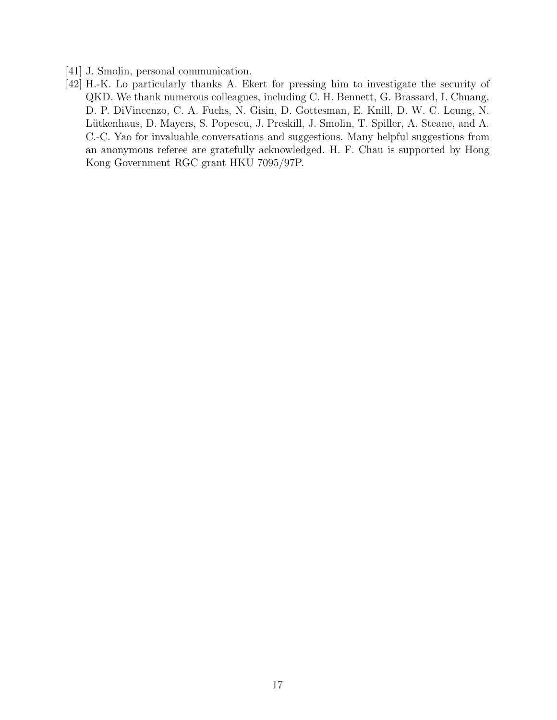- [41] J. Smolin, personal communication.
- [42] H.-K. Lo particularly thanks A. Ekert for pressing him to investigate the security of QKD. We thank numerous colleagues, including C. H. Bennett, G. Brassard, I. Chuang, D. P. DiVincenzo, C. A. Fuchs, N. Gisin, D. Gottesman, E. Knill, D. W. C. Leung, N. Lütkenhaus, D. Mayers, S. Popescu, J. Preskill, J. Smolin, T. Spiller, A. Steane, and A. C.-C. Yao for invaluable conversations and suggestions. Many helpful suggestions from an anonymous referee are gratefully acknowledged. H. F. Chau is supported by Hong Kong Government RGC grant HKU 7095/97P.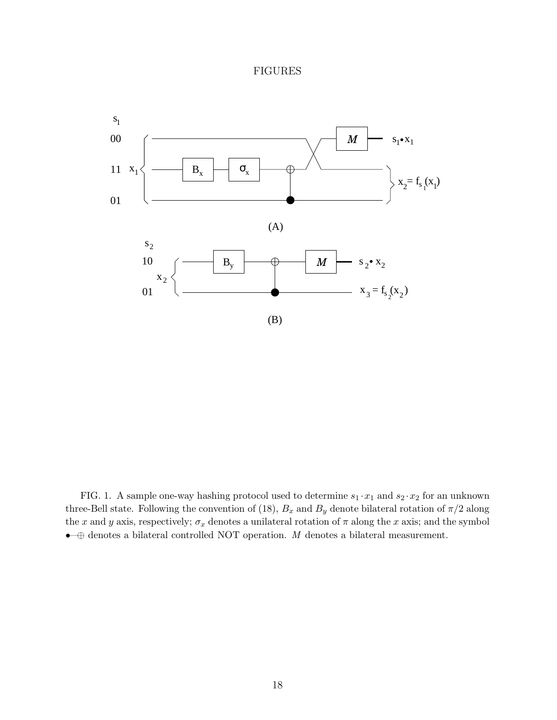### FIGURES



FIG. 1. A sample one-way hashing protocol used to determine  $s_1 \cdot x_1$  and  $s_2 \cdot x_2$  for an unknown three-Bell state. Following the convention of (18),  $B_x$  and  $B_y$  denote bilateral rotation of  $\pi/2$  along the x and y axis, respectively;  $\sigma_x$  denotes a unilateral rotation of  $\pi$  along the x axis; and the symbol •—<sup>⊕</sup> denotes a bilateral controlled NOT operation. <sup>M</sup> denotes a bilateral measurement.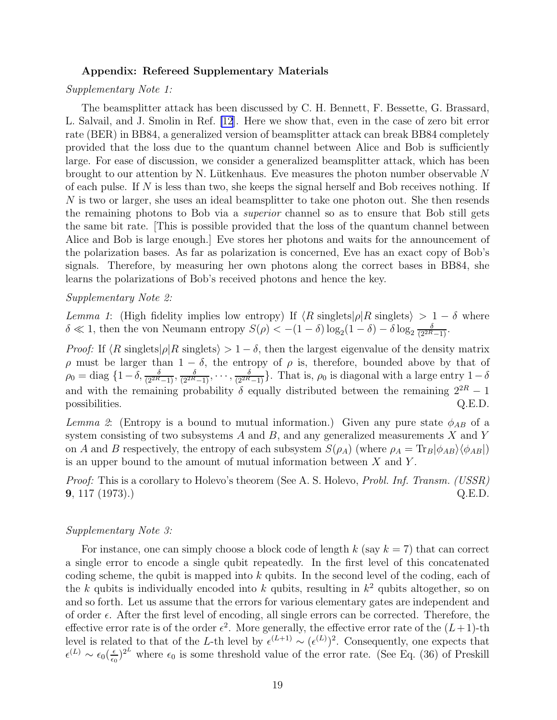#### Appendix: Refereed Supplementary Materials

#### *Supplementary Note 1:*

The beamsplitter attack has been discussed by C. H. Bennett, F. Bessette, G. Brassard, L. Salvail, and J. Smolin in Ref. [\[12](#page-11-0)]. Here we show that, even in the case of zero bit error rate (BER) in BB84, a generalized version of beamsplitter attack can break BB84 completely provided that the loss due to the quantum channel between Alice and Bob is sufficiently large. For ease of discussion, we consider a generalized beamsplitter attack, which has been brought to our attention by N. Lütkenhaus. Eve measures the photon number observable  $N$ of each pulse. If  $N$  is less than two, she keeps the signal herself and Bob receives nothing. If N is two or larger, she uses an ideal beamsplitter to take one photon out. She then resends the remaining photons to Bob via a *superior* channel so as to ensure that Bob still gets the same bit rate. [This is possible provided that the loss of the quantum channel between Alice and Bob is large enough.] Eve stores her photons and waits for the announcement of the polarization bases. As far as polarization is concerned, Eve has an exact copy of Bob's signals. Therefore, by measuring her own photons along the correct bases in BB84, she learns the polarizations of Bob's received photons and hence the key.

#### *Supplementary Note 2:*

*Lemma 1*: (High fidelity implies low entropy) If  $\langle R \text{ singlets} | \rho | R \text{ singlets} \rangle > 1 - \delta$  where  $\delta \ll 1$ , then the von Neumann entropy  $S(\rho) < -(1-\delta)\log_2(1-\delta) - \delta \log_2 \frac{\delta}{(2^{2R}-1)}$ .

*Proof:* If  $\langle R \text{ singlets} | \rho | R \text{ singlets} \rangle > 1 - \delta$ , then the largest eigenvalue of the density matrix ρ must be larger than 1 − δ, the entropy of ρ is, therefore, bounded above by that of  $\rho_0 = \text{diag } \{1-\delta, \frac{\delta}{(2^{2R}-1)}, \frac{\delta}{(2^{2R}-1)}, \cdots, \frac{\delta}{(2^{2R}-1)}\}.$  That is,  $\rho_0$  is diagonal with a large entry  $1-\delta$ and with the remaining probability  $\delta$  equally distributed between the remaining  $2^{2R} - 1$  possibilities. Q.E.D. possibilities.

*Lemma 2*: (Entropy is a bound to mutual information.) Given any pure state  $\phi_{AB}$  of a system consisting of two subsystems  $A$  and  $B$ , and any generalized measurements  $X$  and  $Y$ on A and B respectively, the entropy of each subsystem  $S(\rho_A)$  (where  $\rho_A = \text{Tr}_B |\phi_{AB}\rangle \langle \phi_{AB}|$ ) is an upper bound to the amount of mutual information between  $X$  and  $Y$ .

*Proof:* This is a corollary to Holevo's theorem (See A. S. Holevo, *Probl. Inf. Transm. (USSR)* **9**, 117 (1973).) Q.E.D.

#### *Supplementary Note 3:*

For instance, one can simply choose a block code of length  $k$  (say  $k = 7$ ) that can correct a single error to encode a single qubit repeatedly. In the first level of this concatenated coding scheme, the qubit is mapped into  $k$  qubits. In the second level of the coding, each of the k qubits is individually encoded into k qubits, resulting in  $k^2$  qubits altogether, so on and so forth. Let us assume that the errors for various elementary gates are independent and of order  $\epsilon$ . After the first level of encoding, all single errors can be corrected. Therefore, the effective error rate is of the order  $\epsilon^2$ . More generally, the effective error rate of the  $(L+1)$ -th level is related to that of the L-th level by  $\epsilon^{(L+1)} \sim (\epsilon^{(L)})^2$ . Consequently, one expects that  $\epsilon^{(L)} \sim \epsilon_0 \left(\frac{\epsilon}{\epsilon_0}\right)$  $\frac{\epsilon}{\epsilon_0}$ )<sup>2</sup> where  $\epsilon_0$  is some threshold value of the error rate. (See Eq. (36) of Preskill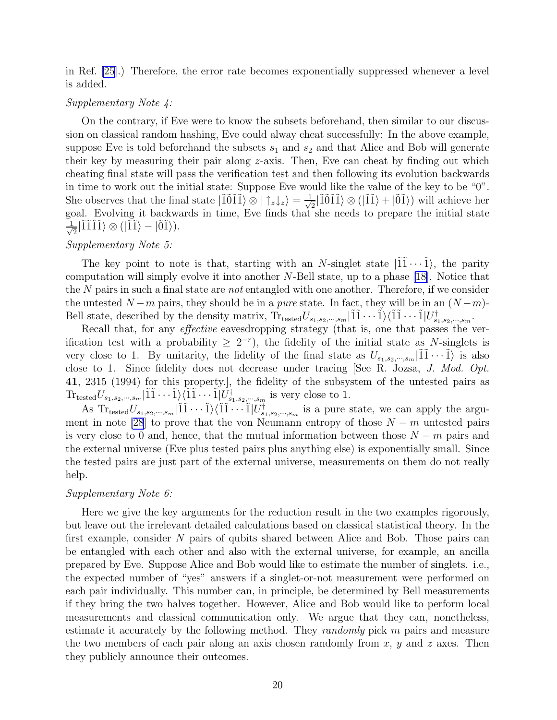in Ref. [\[25](#page-13-0)].) Therefore, the error rate becomes exponentially suppressed whenever a level is added.

#### *Supplementary Note 4:*

On the contrary, if Eve were to know the subsets beforehand, then similar to our discussion on classical random hashing, Eve could alway cheat successfully: In the above example, suppose Eve is told beforehand the subsets  $s_1$  and  $s_2$  and that Alice and Bob will generate their key by measuring their pair along  $z$ -axis. Then, Eve can cheat by finding out which cheating final state will pass the verification test and then following its evolution backwards in time to work out the initial state: Suppose Eve would like the value of the key to be "0". She observes that the final state  $|\tilde{1}011\rangle \otimes | \uparrow_z \downarrow_z \rangle = \frac{1}{\sqrt{2}}$  $\frac{1}{2}$ | $\tilde{1}\tilde{0}\tilde{1}\tilde{1}\rangle \otimes (|\tilde{1}\tilde{1}\rangle + |\tilde{0}\tilde{1}\rangle)$  will achieve her goal. Evolving it backwards in time, Eve finds that she needs to prepare the initial state √ 1  $\frac{1}{2}$ |ĨĨĨĨ)  $\otimes$  (|ĨĨ) - |ÕĨ)).

#### *Supplementary Note 5:*

The key point to note is that, starting with an N-singlet state  $|\tilde{1}\tilde{1}\cdots\tilde{1}\rangle$ , the parity computation will simply evolve it into another N-Bell state, up to a phase[[18\]](#page-12-0). Notice that the N pairs in such a final state are *not* entangled with one another. Therefore, if we consider the untested  $N - m$  pairs, they should be in a *pure* state. In fact, they will be in an  $(N - m)$ -Bell state, described by the density matrix,  $\text{Tr}_{\text{tested}}U_{s_1, s_2, \cdots, s_m} | \tilde{1}\tilde{1}\cdots\tilde{1} \rangle \langle \tilde{1}\tilde{1}\cdots\tilde{1} | U_{s_1, s_2, \cdots, s_m}^{\dagger}.$ 

Recall that, for any *effective* eavesdropping strategy (that is, one that passes the verification test with a probability  $\geq 2^{-r}$ , the fidelity of the initial state as N-singlets is very close to 1. By unitarity, the fidelity of the final state as  $U_{s_1,s_2,\dots,s_m}|\tilde{1}\tilde{1}\cdots\tilde{1}\rangle$  is also close to 1. Since fidelity does not decrease under tracing [See R. Jozsa, *J. Mod. Opt.* 41, 2315 (1994) for this property.], the fidelity of the subsystem of the untested pairs as  $\text{Tr}_{\text{tested}} U_{s_1, s_2, \cdots, s_m} | \tilde{1}\tilde{1} \cdots \tilde{1} \rangle \langle \tilde{1}\tilde{1} \cdots \tilde{1} | U_{s_1, s_2, \cdots, s_m}^{\dagger}$  is very close to 1.

As  $\text{Tr}_{\text{tested}} U_{s_1, s_2, \cdots, s_m} | \tilde{1} \tilde{1} \cdots \tilde{1} \rangle \langle \tilde{1} \tilde{1} \cdots \tilde{1} | U_{s_1, s_2, \cdots, s_m}^{\dagger}$  is a pure state, we can apply the argu-ment in note [\[28](#page-13-0)] to prove that the von Neumann entropy of those  $N - m$  untested pairs is very close to 0 and, hence, that the mutual information between those  $N - m$  pairs and the external universe (Eve plus tested pairs plus anything else) is exponentially small. Since the tested pairs are just part of the external universe, measurements on them do not really help.

#### *Supplementary Note 6:*

Here we give the key arguments for the reduction result in the two examples rigorously, but leave out the irrelevant detailed calculations based on classical statistical theory. In the first example, consider N pairs of qubits shared between Alice and Bob. Those pairs can be entangled with each other and also with the external universe, for example, an ancilla prepared by Eve. Suppose Alice and Bob would like to estimate the number of singlets. i.e., the expected number of "yes" answers if a singlet-or-not measurement were performed on each pair individually. This number can, in principle, be determined by Bell measurements if they bring the two halves together. However, Alice and Bob would like to perform local measurements and classical communication only. We argue that they can, nonetheless, estimate it accurately by the following method. They *randomly* pick m pairs and measure the two members of each pair along an axis chosen randomly from  $x, y$  and  $z$  axes. Then they publicly announce their outcomes.